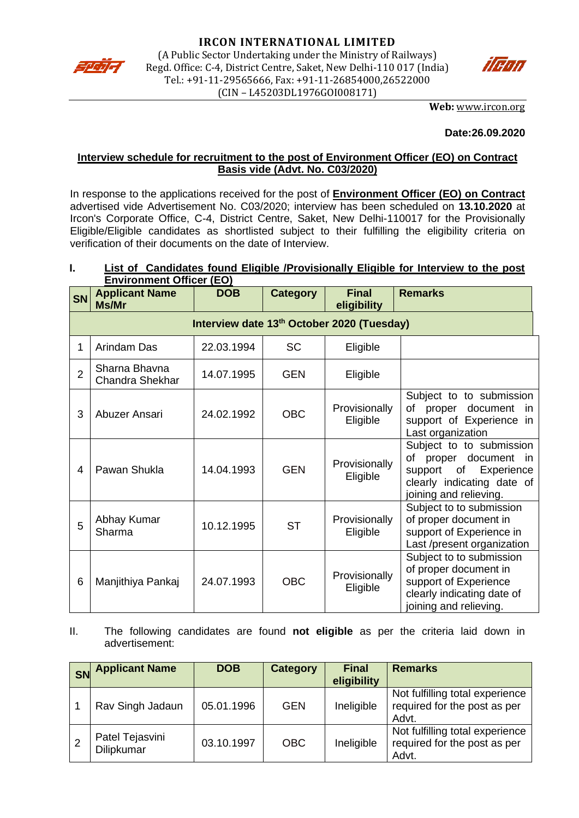



**Web:** [www.ircon.org](http://www.ircon.org/)

#### **Date:26.09.2020**

### **Interview schedule for recruitment to the post of Environment Officer (EO) on Contract Basis vide (Advt. No. C03/2020)**

In response to the applications received for the post of **Environment Officer (EO) on Contract** advertised vide Advertisement No. C03/2020; interview has been scheduled on **13.10.2020** at Ircon's Corporate Office, C-4, District Centre, Saket, New Delhi-110017 for the Provisionally Eligible/Eligible candidates as shortlisted subject to their fulfilling the eligibility criteria on verification of their documents on the date of Interview.

# **I. List of Candidates found Eligible /Provisionally Eligible for Interview to the post Environment Officer (EO)**

| <b>SN</b>      | <b>Applicant Name</b><br>Ms/Mr             | <b>DOB</b> | <b>Category</b> | <b>Final</b><br>eligibility | <b>Remarks</b>                                                                                                                              |  |
|----------------|--------------------------------------------|------------|-----------------|-----------------------------|---------------------------------------------------------------------------------------------------------------------------------------------|--|
|                | Interview date 13th October 2020 (Tuesday) |            |                 |                             |                                                                                                                                             |  |
| 1              | Arindam Das                                | 22.03.1994 | <b>SC</b>       | Eligible                    |                                                                                                                                             |  |
| $\overline{2}$ | Sharna Bhavna<br><b>Chandra Shekhar</b>    | 14.07.1995 | <b>GEN</b>      | Eligible                    |                                                                                                                                             |  |
| 3              | Abuzer Ansari                              | 24.02.1992 | <b>OBC</b>      | Provisionally<br>Eligible   | Subject to to submission<br>document<br>of<br>proper<br>- in<br>support of Experience in<br>Last organization                               |  |
| 4              | Pawan Shukla                               | 14.04.1993 | <b>GEN</b>      | Provisionally<br>Eligible   | Subject to to submission<br>of proper<br>document in<br>support<br>of<br>Experience<br>clearly indicating date of<br>joining and relieving. |  |
| 5              | Abhay Kumar<br>Sharma                      | 10.12.1995 | <b>ST</b>       | Provisionally<br>Eligible   | Subject to to submission<br>of proper document in<br>support of Experience in<br>Last /present organization                                 |  |
| 6              | Manjithiya Pankaj                          | 24.07.1993 | <b>OBC</b>      | Provisionally<br>Eligible   | Subject to to submission<br>of proper document in<br>support of Experience<br>clearly indicating date of<br>joining and relieving.          |  |

II. The following candidates are found **not eligible** as per the criteria laid down in advertisement:

| <b>SN</b> | <b>Applicant Name</b>         | <b>DOB</b> | <b>Category</b> | <b>Final</b><br>eligibility | <b>Remarks</b>                                                           |
|-----------|-------------------------------|------------|-----------------|-----------------------------|--------------------------------------------------------------------------|
|           | Rav Singh Jadaun              | 05.01.1996 | <b>GEN</b>      | Ineligible                  | Not fulfilling total experience<br>required for the post as per<br>Advt. |
|           | Patel Tejasvini<br>Dilipkumar | 03.10.1997 | <b>OBC</b>      | Ineligible                  | Not fulfilling total experience<br>required for the post as per<br>Advt. |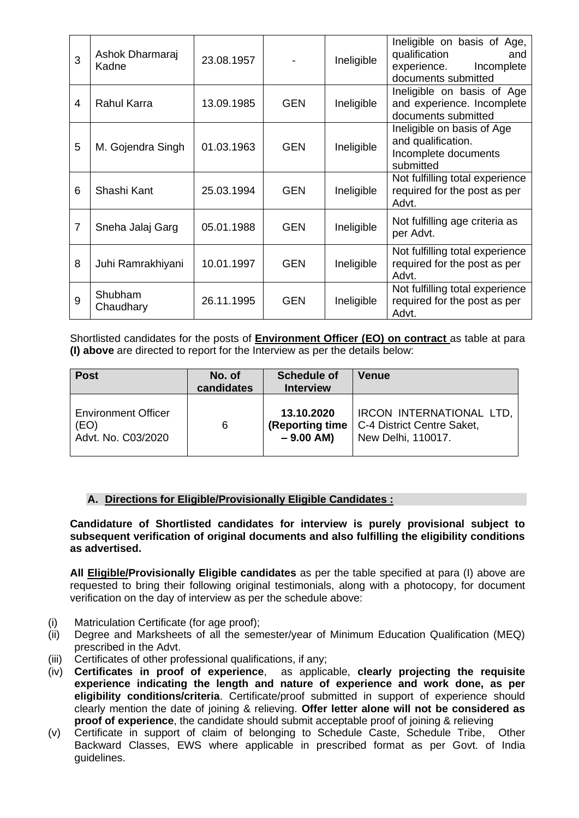| 3              | Ashok Dharmaraj<br>Kadne | 23.08.1957 |            | Ineligible | Ineligible on basis of Age,<br>qualification<br>and<br>experience.<br>Incomplete<br>documents submitted |
|----------------|--------------------------|------------|------------|------------|---------------------------------------------------------------------------------------------------------|
| 4              | Rahul Karra              | 13.09.1985 | <b>GEN</b> | Ineligible | Ineligible on basis of Age<br>and experience. Incomplete<br>documents submitted                         |
| 5              | M. Gojendra Singh        | 01.03.1963 | <b>GEN</b> | Ineligible | Ineligible on basis of Age<br>and qualification.<br>Incomplete documents<br>submitted                   |
| 6              | Shashi Kant              | 25.03.1994 | <b>GEN</b> | Ineligible | Not fulfilling total experience<br>required for the post as per<br>Advt.                                |
| $\overline{7}$ | Sneha Jalaj Garg         | 05.01.1988 | <b>GEN</b> | Ineligible | Not fulfilling age criteria as<br>per Advt.                                                             |
| 8              | Juhi Ramrakhiyani        | 10.01.1997 | <b>GEN</b> | Ineligible | Not fulfilling total experience<br>required for the post as per<br>Advt.                                |
| 9              | Shubham<br>Chaudhary     | 26.11.1995 | <b>GEN</b> | Ineligible | Not fulfilling total experience<br>required for the post as per<br>Advt.                                |

Shortlisted candidates for the posts of **Environment Officer (EO) on contract** as table at para **(I) above** are directed to report for the Interview as per the details below:

| <b>Post</b>                | No. of<br>candidates | <b>Schedule of</b><br><b>Interview</b> | <b>Venue</b>               |
|----------------------------|----------------------|----------------------------------------|----------------------------|
| <b>Environment Officer</b> | 6                    | 13.10.2020                             | IRCON INTERNATIONAL LTD,   |
| (EO)                       |                      | (Reporting time)                       | C-4 District Centre Saket, |
| Advt. No. C03/2020         |                      | $-9.00$ AM)                            | New Delhi, 110017.         |

# **A. Directions for Eligible/Provisionally Eligible Candidates :**

**Candidature of Shortlisted candidates for interview is purely provisional subject to subsequent verification of original documents and also fulfilling the eligibility conditions as advertised.** 

**All Eligible/Provisionally Eligible candidates** as per the table specified at para (I) above are requested to bring their following original testimonials, along with a photocopy, for document verification on the day of interview as per the schedule above:

- (i) Matriculation Certificate (for age proof);
- (ii) Degree and Marksheets of all the semester/year of Minimum Education Qualification (MEQ) prescribed in the Advt.
- (iii) Certificates of other professional qualifications, if any;
- (iv) **Certificates in proof of experience**, as applicable, **clearly projecting the requisite experience indicating the length and nature of experience and work done, as per eligibility conditions/criteria**. Certificate/proof submitted in support of experience should clearly mention the date of joining & relieving. **Offer letter alone will not be considered as proof of experience**, the candidate should submit acceptable proof of joining & relieving
- (v) Certificate in support of claim of belonging to Schedule Caste, Schedule Tribe, Other Backward Classes, EWS where applicable in prescribed format as per Govt. of India guidelines.